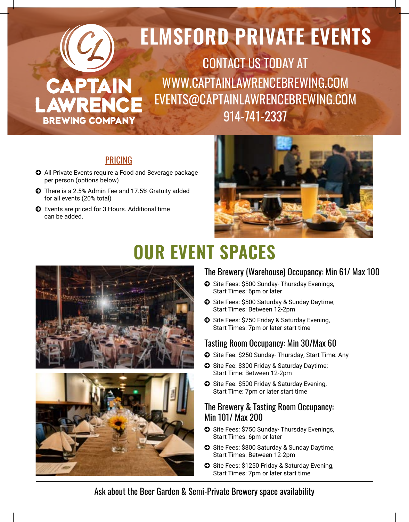

#### PRICING

- © All Private Events require a Food and Beverage package per person (options below)
- © There is a 2.5% Admin Fee and 17.5% Gratuity added for all events (20% total)
- © Events are priced for 3 Hours. Additional time can be added.



# **OUR EVENT SPACES**





#### The Brewery (Warehouse) Occupancy: Min 61/ Max 100

- © Site Fees: \$500 Sunday- Thursday Evenings, Start Times: 6pm or later
- © Site Fees: \$500 Saturday & Sunday Daytime, Start Times: Between 12-2pm
- © Site Fees: \$750 Friday & Saturday Evening, Start Times: 7pm or later start time

#### Tasting Room Occupancy: Min 30/Max 60

- © Site Fee: \$250 Sunday- Thursday; Start Time: Any
- © Site Fee: \$300 Friday & Saturday Daytime; Start Time: Between 12-2pm
- © Site Fee: \$500 Friday & Saturday Evening, Start Time: 7pm or later start time

#### The Brewery & Tasting Room Occupancy: Min 101/ Max 200

- © Site Fees: \$750 Sunday- Thursday Evenings, Start Times: 6pm or later
- © Site Fees: \$800 Saturday & Sunday Daytime, Start Times: Between 12-2pm
- © Site Fees: \$1250 Friday & Saturday Evening, Start Times: 7pm or later start time

Ask about the Beer Garden & Semi-Private Brewery space availability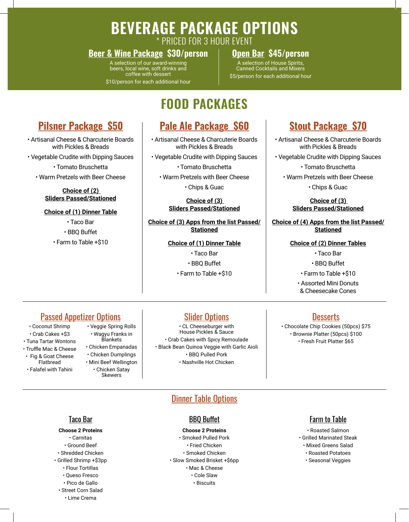# **BEVERAGE PACKAGE OPTIONS**

\* PRICED FOR 3 HOUR EVENT

#### **Beer & Wine Package \$30/person Open Bar \$45/person**

A selection of our award-winning beers, local wine, soft drinks and coffee with dessert

\$10/person for each additional hour

A selection of House Spirits, Canned Cocktails and Mixers \$5/person for each additional hour

### **FOOD PACKAGES**

#### **Pale Ale Package \$60**

• Artisanal Cheese & Charcuterie Boards with Pickles & Breads

• Vegetable Crudite with Dipping Sauces

• Tomato Bruschetta

• Warm Pretzels with Beer Cheese

• Chips & Guac

**Choice of (3) Sliders Passed/Stationed**

#### **Choice of (3) Apps from the list Passed/ Stationed**

**Choice of (1) Dinner Table** • Taco Bar • BBQ Buffet

• Farm to Table +\$10

### **Stout Package \$70**

- Artisanal Cheese & Charcuterie Boards with Pickles & Breads
- Vegetable Crudite with Dipping Sauces

• Tomato Bruschetta

• Warm Pretzels with Beer Cheese

• Chips & Guac

**Choice of (3) Sliders Passed/Stationed**

**Choice of (4) Apps from the list Passed/ Stationed**

#### **Choice of (2) Dinner Tables**

• Taco Bar • BBQ Buffet

• Farm to Table +\$10

• Assorted Mini Donuts & Cheesecake Cones

#### Passed Appetizer Options

**Pilsner Package \$50** • Artisanal Cheese & Charcuterie Boards with Pickles & Breads • Vegetable Crudite with Dipping Sauces • Tomato Bruschetta • Warm Pretzels with Beer Cheese

> **Choice of (2) Sliders Passed/Stationed**

**Choice of (1) Dinner Table** • Taco Bar • BBQ Buffet • Farm to Table +\$10

- Coconut Shrimp
- Crab Cakes +\$3
- Tuna Tartar Wontons
- Truffle Mac & Cheese • Fig & Goat Cheese
- Flatbread • Falafel with Tahini
- Chicken Empanadas • Chicken Dumplings • Mini Beef Wellington

• Veggie Spring Rolls • Wagyu Franks in Blankets

• Chicken Satay Skewers

#### Slider Options

• CL Cheeseburger with House Pickles & Sauce • Crab Cakes with Spicy Remoulade • Black Bean Quinoa Veggie with Garlic Aioli • BBQ Pulled Pork • Nashville Hot Chicken

#### Desserts

• Chocolate Chip Cookies (50pcs) \$75 • Brownie Platter (50pcs) \$100 • Fresh Fruit Platter \$65

#### **Dinner Table Options**

#### BBQ Buffet

#### **Choose 2 Proteins**

• Smoked Pulled Pork • Fried Chicken • Smoked Chicken • Slow Smoked Brisket +\$6pp • Mac & Cheese • Cole Slaw • Biscuits

#### Farm to Table

- Roasted Salmon
- Grilled Marinated Steak
	- Mixed Greens Salad
	- Roasted Potatoes
	- Seasonal Veggies

Taco Bar

#### **Choose 2 Proteins**

• Carnitas • Ground Beef • Shredded Chicken • Grilled Shrimp +\$3pp • Flour Tortillas • Queso Fresco • Pico de Gallo • Street Corn Salad • Lime Crema